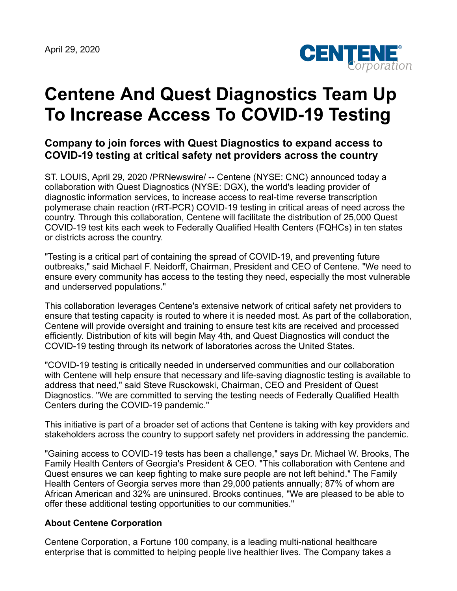

# **Centene And Quest Diagnostics Team Up To Increase Access To COVID-19 Testing**

# **Company to join forces with Quest Diagnostics to expand access to COVID-19 testing at critical safety net providers across the country**

ST. LOUIS, April 29, 2020 /PRNewswire/ -- Centene (NYSE: CNC) announced today a collaboration with Quest Diagnostics (NYSE: DGX), the world's leading provider of diagnostic information services, to increase access to real-time reverse transcription polymerase chain reaction (rRT-PCR) COVID-19 testing in critical areas of need across the country. Through this collaboration, Centene will facilitate the distribution of 25,000 Quest COVID-19 test kits each week to Federally Qualified Health Centers (FQHCs) in ten states or districts across the country.

"Testing is a critical part of containing the spread of COVID-19, and preventing future outbreaks," said Michael F. Neidorff, Chairman, President and CEO of Centene. "We need to ensure every community has access to the testing they need, especially the most vulnerable and underserved populations."

This collaboration leverages Centene's extensive network of critical safety net providers to ensure that testing capacity is routed to where it is needed most. As part of the collaboration, Centene will provide oversight and training to ensure test kits are received and processed efficiently. Distribution of kits will begin May 4th, and Quest Diagnostics will conduct the COVID-19 testing through its network of laboratories across the United States.

"COVID-19 testing is critically needed in underserved communities and our collaboration with Centene will help ensure that necessary and life-saving diagnostic testing is available to address that need," said Steve Rusckowski, Chairman, CEO and President of Quest Diagnostics. "We are committed to serving the testing needs of Federally Qualified Health Centers during the COVID-19 pandemic."

This initiative is part of a broader set of actions that Centene is taking with key providers and stakeholders across the country to support safety net providers in addressing the pandemic.

"Gaining access to COVID-19 tests has been a challenge," says Dr. Michael W. Brooks, The Family Health Centers of Georgia's President & CEO. "This collaboration with Centene and Quest ensures we can keep fighting to make sure people are not left behind." The Family Health Centers of Georgia serves more than 29,000 patients annually; 87% of whom are African American and 32% are uninsured. Brooks continues, "We are pleased to be able to offer these additional testing opportunities to our communities."

## **About Centene Corporation**

Centene Corporation, a Fortune 100 company, is a leading multi-national healthcare enterprise that is committed to helping people live healthier lives. The Company takes a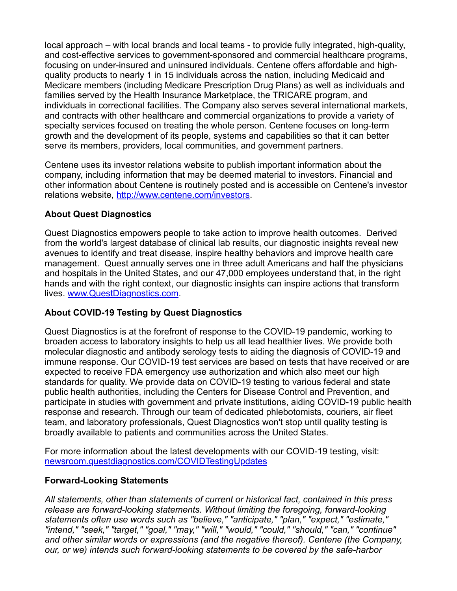local approach – with local brands and local teams - to provide fully integrated, high-quality, and cost-effective services to government-sponsored and commercial healthcare programs, focusing on under-insured and uninsured individuals. Centene offers affordable and highquality products to nearly 1 in 15 individuals across the nation, including Medicaid and Medicare members (including Medicare Prescription Drug Plans) as well as individuals and families served by the Health Insurance Marketplace, the TRICARE program, and individuals in correctional facilities. The Company also serves several international markets, and contracts with other healthcare and commercial organizations to provide a variety of specialty services focused on treating the whole person. Centene focuses on long-term growth and the development of its people, systems and capabilities so that it can better serve its members, providers, local communities, and government partners.

Centene uses its investor relations website to publish important information about the company, including information that may be deemed material to investors. Financial and other information about Centene is routinely posted and is accessible on Centene's investor relations website, <http://www.centene.com/investors>.

# **About Quest Diagnostics**

Quest Diagnostics empowers people to take action to improve health outcomes. Derived from the world's largest database of clinical lab results, our diagnostic insights reveal new avenues to identify and treat disease, inspire healthy behaviors and improve health care management. Quest annually serves one in three adult Americans and half the physicians and hospitals in the United States, and our 47,000 employees understand that, in the right hands and with the right context, our diagnostic insights can inspire actions that transform lives. [www.QuestDiagnostics.com](http://www.questdiagnostics.com/).

## **About COVID-19 Testing by Quest Diagnostics**

Quest Diagnostics is at the forefront of response to the COVID-19 pandemic, working to broaden access to laboratory insights to help us all lead healthier lives. We provide both molecular diagnostic and antibody serology tests to aiding the diagnosis of COVID-19 and immune response. Our COVID-19 test services are based on tests that have received or are expected to receive FDA emergency use authorization and which also meet our high standards for quality. We provide data on COVID-19 testing to various federal and state public health authorities, including the Centers for Disease Control and Prevention, and participate in studies with government and private institutions, aiding COVID-19 public health response and research. Through our team of dedicated phlebotomists, couriers, air fleet team, and laboratory professionals, Quest Diagnostics won't stop until quality testing is broadly available to patients and communities across the United States.

For more information about the latest developments with our COVID-19 testing, visit: [newsroom.questdiagnostics.com/COVIDTestingUpdates](http://newsroom.questdiagnostics.com/COVIDTestingUpdates)

## **Forward-Looking Statements**

*All statements, other than statements of current or historical fact, contained in this press release are forward-looking statements. Without limiting the foregoing, forward-looking statements often use words such as "believe," "anticipate," "plan," "expect," "estimate," "intend," "seek," "target," "goal," "may," "will," "would," "could," "should," "can," "continue" and other similar words or expressions (and the negative thereof). Centene (the Company, our, or we) intends such forward-looking statements to be covered by the safe-harbor*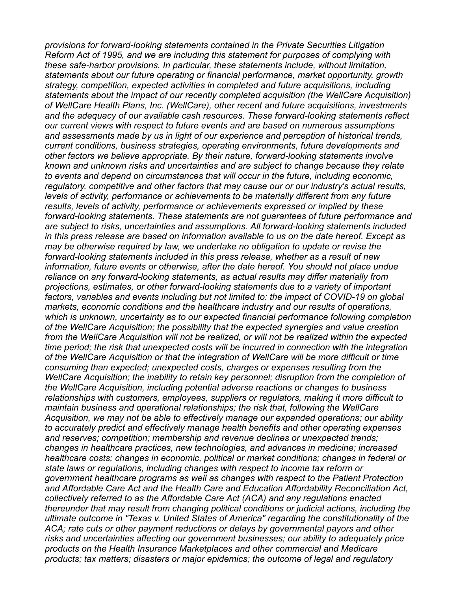*provisions for forward-looking statements contained in the Private Securities Litigation Reform Act of 1995, and we are including this statement for purposes of complying with these safe-harbor provisions. In particular, these statements include, without limitation, statements about our future operating or financial performance, market opportunity, growth strategy, competition, expected activities in completed and future acquisitions, including statements about the impact of our recently completed acquisition (the WellCare Acquisition) of WellCare Health Plans, Inc. (WellCare), other recent and future acquisitions, investments and the adequacy of our available cash resources. These forward-looking statements reflect our current views with respect to future events and are based on numerous assumptions and assessments made by us in light of our experience and perception of historical trends, current conditions, business strategies, operating environments, future developments and other factors we believe appropriate. By their nature, forward-looking statements involve known and unknown risks and uncertainties and are subject to change because they relate to events and depend on circumstances that will occur in the future, including economic, regulatory, competitive and other factors that may cause our or our industry's actual results, levels of activity, performance or achievements to be materially different from any future results, levels of activity, performance or achievements expressed or implied by these forward-looking statements. These statements are not guarantees of future performance and are subject to risks, uncertainties and assumptions. All forward-looking statements included in this press release are based on information available to us on the date hereof. Except as may be otherwise required by law, we undertake no obligation to update or revise the forward-looking statements included in this press release, whether as a result of new information, future events or otherwise, after the date hereof. You should not place undue reliance on any forward-looking statements, as actual results may differ materially from projections, estimates, or other forward-looking statements due to a variety of important factors, variables and events including but not limited to: the impact of COVID-19 on global markets, economic conditions and the healthcare industry and our results of operations, which is unknown, uncertainty as to our expected financial performance following completion of the WellCare Acquisition; the possibility that the expected synergies and value creation from the WellCare Acquisition will not be realized, or will not be realized within the expected time period; the risk that unexpected costs will be incurred in connection with the integration of the WellCare Acquisition or that the integration of WellCare will be more difficult or time consuming than expected; unexpected costs, charges or expenses resulting from the WellCare Acquisition; the inability to retain key personnel; disruption from the completion of the WellCare Acquisition, including potential adverse reactions or changes to business relationships with customers, employees, suppliers or regulators, making it more difficult to maintain business and operational relationships; the risk that, following the WellCare Acquisition, we may not be able to effectively manage our expanded operations; our ability to accurately predict and effectively manage health benefits and other operating expenses and reserves; competition; membership and revenue declines or unexpected trends; changes in healthcare practices, new technologies, and advances in medicine; increased healthcare costs; changes in economic, political or market conditions; changes in federal or state laws or regulations, including changes with respect to income tax reform or government healthcare programs as well as changes with respect to the Patient Protection and Affordable Care Act and the Health Care and Education Affordability Reconciliation Act, collectively referred to as the Affordable Care Act (ACA) and any regulations enacted thereunder that may result from changing political conditions or judicial actions, including the ultimate outcome in "Texas v. United States of America" regarding the constitutionality of the ACA; rate cuts or other payment reductions or delays by governmental payors and other risks and uncertainties affecting our government businesses; our ability to adequately price products on the Health Insurance Marketplaces and other commercial and Medicare products; tax matters; disasters or major epidemics; the outcome of legal and regulatory*